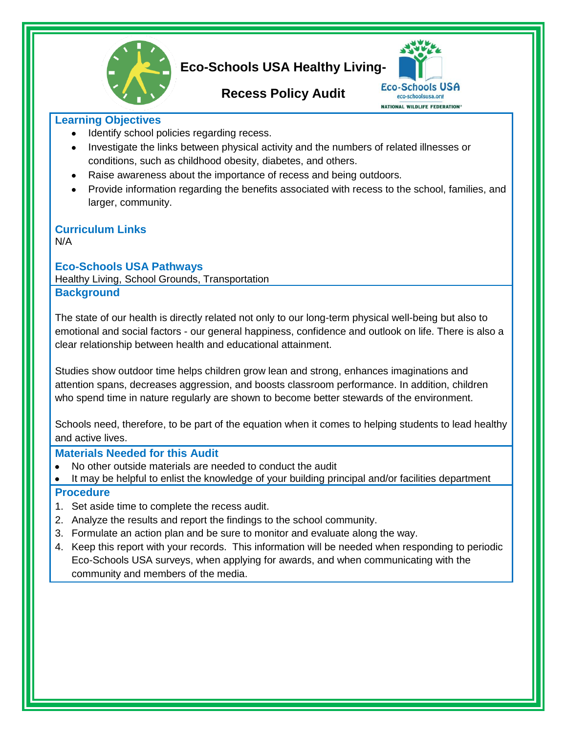

# **Eco-Schools USA Healthy Living-**

## **Recess Policy Audit**



### **Learning Objectives**

- Identify school policies regarding recess.  $\bullet$
- Investigate the links between physical activity and the numbers of related illnesses or conditions, such as childhood obesity, diabetes, and others.
- Raise awareness about the importance of recess and being outdoors.
- Provide information regarding the benefits associated with recess to the school, families, and  $\bullet$ larger, community.

#### **Curriculum Links** N/A

**Eco-Schools USA Pathways**

Healthy Living, School Grounds, Transportation **Background**

The state of our health is directly related not only to our long-term physical well-being but also to emotional and social factors - our general happiness, confidence and outlook on life. There is also a clear relationship between health and educational attainment.

Studies show outdoor time helps children grow lean and strong, enhances imaginations and attention spans, decreases aggression, and boosts classroom performance. In addition, children who spend time in nature regularly are shown to become better stewards of the environment.

Schools need, therefore, to be part of the equation when it comes to helping students to lead healthy and active lives.

## **Materials Needed for this Audit**

- No other outside materials are needed to conduct the audit
- It may be helpful to enlist the knowledge of your building principal and/or facilities department

## **Procedure**

- 1. Set aside time to complete the recess audit.
- 2. Analyze the results and report the findings to the school community.
- 3. Formulate an action plan and be sure to monitor and evaluate along the way.
- 4. Keep this report with your records. This information will be needed when responding to periodic Eco-Schools USA surveys, when applying for awards, and when communicating with the community and members of the media.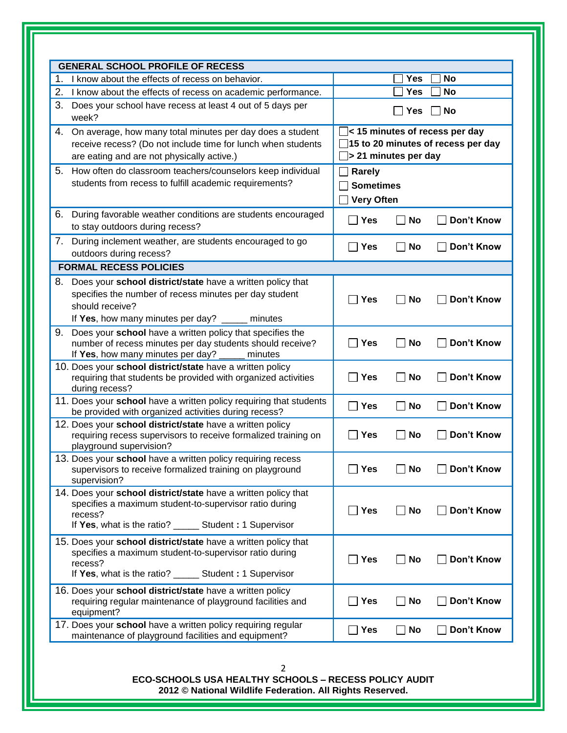|    | 1. I know about the effects of recess on behavior.                                                                                                                                              |                                                                                                                                                        | <b>Yes</b> | No                |
|----|-------------------------------------------------------------------------------------------------------------------------------------------------------------------------------------------------|--------------------------------------------------------------------------------------------------------------------------------------------------------|------------|-------------------|
|    | 2. I know about the effects of recess on academic performance.                                                                                                                                  |                                                                                                                                                        | Yes        | <b>No</b>         |
| 3. | Does your school have recess at least 4 out of 5 days per<br>week?                                                                                                                              | <b>Yes</b><br><b>No</b>                                                                                                                                |            |                   |
| 4. | On average, how many total minutes per day does a student<br>receive recess? (Do not include time for lunch when students<br>are eating and are not physically active.)                         | < 15 minutes of recess per day<br>15 to 20 minutes of recess per day<br>$\Box$ > 21 minutes per day<br>Rarely<br><b>Sometimes</b><br><b>Very Often</b> |            |                   |
| 5. | How often do classroom teachers/counselors keep individual<br>students from recess to fulfill academic requirements?                                                                            |                                                                                                                                                        |            |                   |
| 6. | During favorable weather conditions are students encouraged<br>to stay outdoors during recess?                                                                                                  | $\Box$ Yes                                                                                                                                             | <b>No</b>  | Don't Know        |
|    | 7. During inclement weather, are students encouraged to go<br>outdoors during recess?                                                                                                           | <b>Yes</b><br>$\mathsf{L}$                                                                                                                             | <b>No</b>  | Don't Know        |
|    | <b>FORMAL RECESS POLICIES</b>                                                                                                                                                                   |                                                                                                                                                        |            |                   |
|    | 8. Does your school district/state have a written policy that<br>specifies the number of recess minutes per day student<br>should receive?<br>If Yes, how many minutes per day? ____ minutes    | <b>Yes</b>                                                                                                                                             | No         | Don't Know        |
| 9. | Does your school have a written policy that specifies the<br>number of recess minutes per day students should receive?<br>If Yes, how many minutes per day? ___<br>minutes                      | <b>Yes</b>                                                                                                                                             | No         | Don't Know        |
|    | 10. Does your school district/state have a written policy<br>requiring that students be provided with organized activities<br>during recess?                                                    | Yes<br>$\sim$                                                                                                                                          | <b>No</b>  | Don't Know        |
|    | 11. Does your school have a written policy requiring that students<br>be provided with organized activities during recess?                                                                      | $\Box$ Yes                                                                                                                                             | <b>No</b>  | Don't Know        |
|    | 12. Does your school district/state have a written policy<br>requiring recess supervisors to receive formalized training on<br>playground supervision?                                          | Yes                                                                                                                                                    | <b>No</b>  | <b>Don't Know</b> |
|    | 13. Does your school have a written policy requiring recess<br>supervisors to receive formalized training on playground<br>supervision?                                                         | $\blacksquare$ Yes                                                                                                                                     | No         | Don't Know        |
|    | 14. Does your school district/state have a written policy that<br>specifies a maximum student-to-supervisor ratio during<br>recess?<br>If Yes, what is the ratio? _______ Student: 1 Supervisor | $\Box$ Yes                                                                                                                                             | No         | Don't Know        |
|    | 15. Does your school district/state have a written policy that<br>specifies a maximum student-to-supervisor ratio during<br>recess?<br>If Yes, what is the ratio? _______ Student: 1 Supervisor | <b>Yes</b>                                                                                                                                             | No         | Don't Know        |
|    | 16. Does your school district/state have a written policy<br>requiring regular maintenance of playground facilities and<br>equipment?                                                           | Yes                                                                                                                                                    | No         | Don't Know        |
|    | 17. Does your school have a written policy requiring regular<br>maintenance of playground facilities and equipment?                                                                             | $\Box$ Yes                                                                                                                                             | <b>No</b>  | Don't Know        |